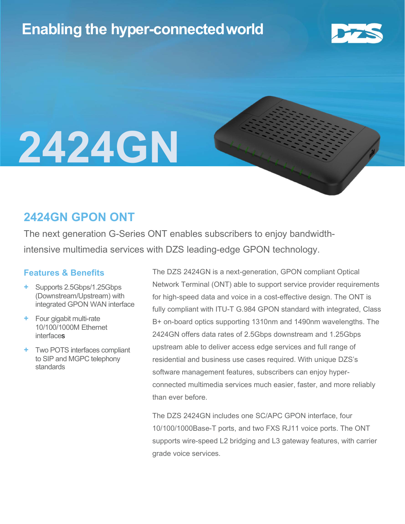## Enabling the hyper-connectedworld



# 2424GN

### 2424GN GPON ONT

The next generation G-Series ONT enables subscribers to enjoy bandwidthintensive multimedia services with DZS leading-edge GPON technology.

#### Features & Benefits

- Supports 2.5Gbps/1.25Gbps (Downstream/Upstream) with integrated GPON WAN interface
- + Four gigabit multi-rate 10/100/1000M Ethernet interfaces
- **Two POTS interfaces compliant** to SIP and MGPC telephony standards

The DZS 2424GN is a next-generation, GPON compliant Optical Network Terminal (ONT) able to support service provider requirements for high-speed data and voice in a cost-effective design. The ONT is fully compliant with ITU-T G.984 GPON standard with integrated, Class B+ on-board optics supporting 1310nm and 1490nm wavelengths. The 2424GN offers data rates of 2.5Gbps downstream and 1.25Gbps upstream able to deliver access edge services and full range of residential and business use cases required. With unique DZS's software management features, subscribers can enjoy hyperconnected multimedia services much easier, faster, and more reliably than ever before.

The DZS 2424GN includes one SC/APC GPON interface, four 10/100/1000Base-T ports, and two FXS RJ11 voice ports. The ONT supports wire-speed L2 bridging and L3 gateway features, with carrier grade voice services.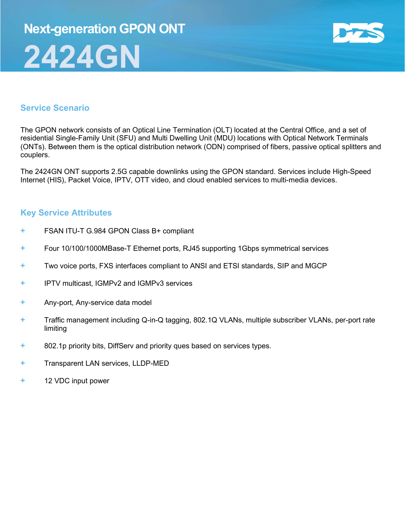## Next-generation GPON ONT 2424GN



#### Service Scenario

The GPON network consists of an Optical Line Termination (OLT) located at the Central Office, and a set of residential Single-Family Unit (SFU) and Multi Dwelling Unit (MDU) locations with Optical Network Terminals (ONTs). Between them is the optical distribution network (ODN) comprised of fibers, passive optical splitters and couplers.

The 2424GN ONT supports 2.5G capable downlinks using the GPON standard. Services include High-Speed Internet (HIS), Packet Voice, IPTV, OTT video, and cloud enabled services to multi-media devices.

#### Key Service Attributes

- + FSAN ITU-T G.984 GPON Class B+ compliant
- + Four 10/100/1000MBase-T Ethernet ports, RJ45 supporting 1Gbps symmetrical services
- + Two voice ports, FXS interfaces compliant to ANSI and ETSI standards, SIP and MGCP
- + IPTV multicast, IGMPv2 and IGMPv3 services
- + Any-port, Any-service data model
- + Traffic management including Q-in-Q tagging, 802.1Q VLANs, multiple subscriber VLANs, per-port rate limiting
- + 802.1p priority bits, DiffServ and priority ques based on services types.
- + Transparent LAN services, LLDP-MED
- + 12 VDC input power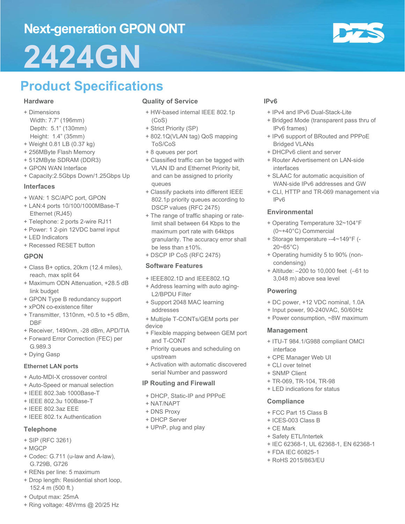## Next-generation GPON ONT

## 2424GN

## Product Specifications

#### **Hardware**

- + Dimensions Width: 7.7" (196mm) Depth: 5.1" (130mm) Height: 1.4" (35mm)
- + Weight 0.81 LB (0.37 kg)
- + 256MByte Flash Memory
- + 512MByte SDRAM (DDR3)
- + GPON WAN Interface
- + Capacity:2.5Gbps Down/1.25Gbps Up

#### Interfaces

- + WAN: 1 SC/APC port, GPON
- + LAN:4 ports 10/100/1000MBase-T Ethernet (RJ45)
- + Telephone: 2 ports 2-wire RJ11
- + Power: 1 2-pin 12VDC barrel input
- + LED Indicators
- + Recessed RESET button

#### **GPON**

- + Class B+ optics, 20km (12.4 miles), reach, max split 64
- + Maximum ODN Attenuation, +28.5 dB link budget
- + GPON Type B redundancy support
- + xPON co-existence filter
- + Transmitter, 1310nm, +0.5 to +5 dBm, DBF
- + Receiver, 1490nm, -28 dBm, APD/TIA
- + Forward Error Correction (FEC) per G.989.3
- + Dying Gasp

#### Ethernet LAN ports

- + Auto-MDI-X crossover control
- + Auto-Speed or manual selection
- + IEEE 802.3ab 1000Base-T
- + IEEE 802.3u 100Base-T
- + IEEE 802.3az EEE
- + IEEE 802.1x Authentication

#### Telephone

- + SIP (RFC 3261)
- + MGCP
- + Codec: G.711 (u-law and A-law), G.729B, G726
- + RENs per line: 5 maximum
- + Drop length: Residential short loop, 152.4 m (500 ft.)
- + Output max: 25mA
- + Ring voltage: 48Vrms @ 20/25 Hz

#### Quality of Service

- + HW-based internal IEEE 802.1p (CoS)
- + Strict Priority (SP)
- + 802.1Q(VLAN tag) QoS mapping ToS/CoS
- + 8 queues per port
- + Classified traffic can be tagged with VLAN ID and Ethernet Priority bit, and can be assigned to priority queues
- + Classify packets into different IEEE 802.1p priority queues according to DSCP values (RFC 2475)
- + The range of traffic shaping or ratelimit shall between 64 Kbps to the maximum port rate with 64kbps granularity. The accuracy error shall be less than ±10%.
- + DSCP IP CoS (RFC 2475)

#### Software Features

- + IEEE802.1D and IEEE802.1Q
- + Address learning with auto aging-L2/BPDU Filter
- + Support 2048 MAC learning addresses
- + Multiple T-CONTs/GEM ports per device
- + Flexible mapping between GEM port and T-CONT
- + Priority queues and scheduling on upstream
- + Activation with automatic discovered serial Number and password

#### IP Routing and Firewall

- + DHCP, Static-IP and PPPoE
- + NAT/NAPT
- + DNS Proxy
- + DHCP Server
- + UPnP, plug and play

#### IPv6

- + IPv4 and IPv6 Dual-Stack-Lite
- + Bridged Mode (transparent pass thru of IPv6 frames)
- + IPv6 support of BRouted and PPPoE Bridged VLANs
- + DHCPv6 client and server
- + Router Advertisement on LAN-side interfaces
- + SLAAC for automatic acquisition of WAN-side IPv6 addresses and GW
- + CLI, HTTP and TR-069 management via IPv6

#### Environmental

- + Operating Temperature 32~104°F (0~+40°C) Commercial
- + Storage temperature --4~149°F (- 20~65°C)
- + Operating humidity 5 to 90% (noncondensing)
- + Altitude: –200 to 10,000 feet (–61 to 3,048 m) above sea level

#### Powering

- + DC power, +12 VDC nominal, 1.0A
- + Input power, 90-240VAC, 50/60Hz
- + Power consumption, ~8W maximum

#### Management

- + ITU-T 984.1/G988 compliant OMCI interface
- + CPE Manager Web UI
- + CLI over telnet
- + SNMP Client
- + TR-069, TR-104, TR-98
- + LED indications for status

#### **Compliance**

- + FCC Part 15 Class B
- + ICES-003 Class B
- + CE Mark
- + Safety ETL/Intertek
- + IEC 62368-1, UL 62368-1, EN 62368-1
- + FDA IEC 60825-1
- + RoHS 2015/863/EU